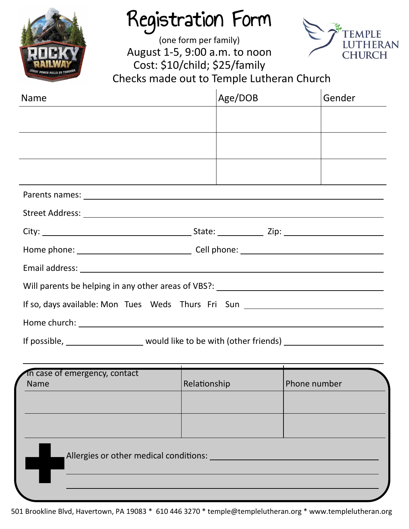

## Registration Form

(one form per family) August 1-5, 9:00 a.m. to noon Cost: \$10/child; \$25/family Checks made out to Temple Lutheran Church



| <b>Name</b>                                                                                         | Age/DOB      |              | Gender |
|-----------------------------------------------------------------------------------------------------|--------------|--------------|--------|
|                                                                                                     |              |              |        |
|                                                                                                     |              |              |        |
|                                                                                                     |              |              |        |
|                                                                                                     |              |              |        |
|                                                                                                     |              |              |        |
|                                                                                                     |              |              |        |
|                                                                                                     |              |              |        |
|                                                                                                     |              |              |        |
| Will parents be helping in any other areas of VBS?: _____________________________                   |              |              |        |
| If so, days available: Mon Tues Weds Thurs Fri Sun _____________________________                    |              |              |        |
|                                                                                                     |              |              |        |
| If possible, ________________________ would like to be with (other friends) _______________________ |              |              |        |
| In case of emergency, contact<br><b>Name</b>                                                        | Relationship | Phone number |        |
|                                                                                                     |              |              |        |
|                                                                                                     |              |              |        |

Allergies or other medical conditions: